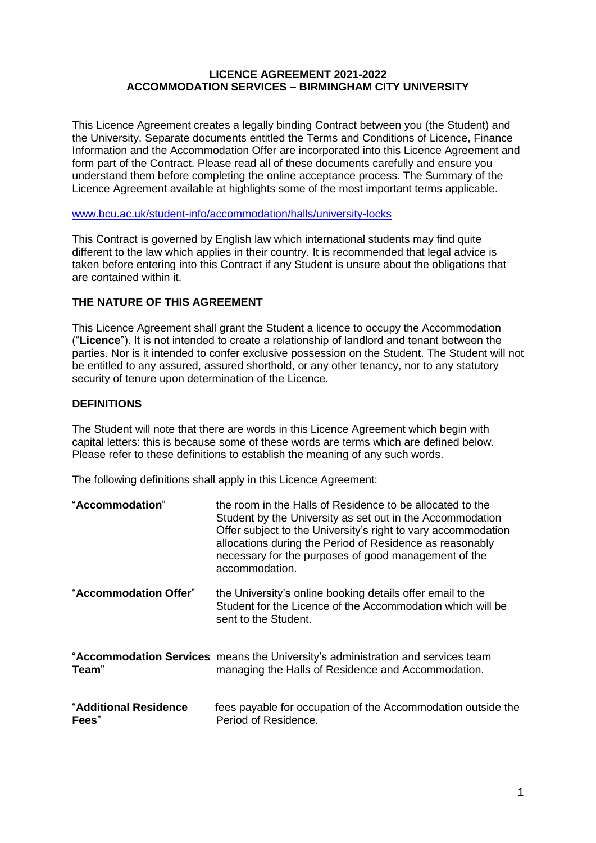### **LICENCE AGREEMENT 2021-2022 ACCOMMODATION SERVICES – BIRMINGHAM CITY UNIVERSITY**

This Licence Agreement creates a legally binding Contract between you (the Student) and the University. Separate documents entitled the Terms and Conditions of Licence, Finance Information and the Accommodation Offer are incorporated into this Licence Agreement and form part of the Contract. Please read all of these documents carefully and ensure you understand them before completing the online acceptance process. The Summary of the Licence Agreement available at highlights some of the most important terms applicable.

[www.bcu.ac.uk/student-info/accommodation/halls/university-locks](http://www.bcu.ac.uk/student-info/accommodation/halls/university-locks)

This Contract is governed by English law which international students may find quite different to the law which applies in their country. It is recommended that legal advice is taken before entering into this Contract if any Student is unsure about the obligations that are contained within it.

# **THE NATURE OF THIS AGREEMENT**

This Licence Agreement shall grant the Student a licence to occupy the Accommodation ("**Licence**"). It is not intended to create a relationship of landlord and tenant between the parties. Nor is it intended to confer exclusive possession on the Student. The Student will not be entitled to any assured, assured shorthold, or any other tenancy, nor to any statutory security of tenure upon determination of the Licence.

### **DEFINITIONS**

The Student will note that there are words in this Licence Agreement which begin with capital letters: this is because some of these words are terms which are defined below. Please refer to these definitions to establish the meaning of any such words.

The following definitions shall apply in this Licence Agreement:

| "Accommodation"                | the room in the Halls of Residence to be allocated to the<br>Student by the University as set out in the Accommodation<br>Offer subject to the University's right to vary accommodation<br>allocations during the Period of Residence as reasonably<br>necessary for the purposes of good management of the<br>accommodation. |
|--------------------------------|-------------------------------------------------------------------------------------------------------------------------------------------------------------------------------------------------------------------------------------------------------------------------------------------------------------------------------|
| "Accommodation Offer"          | the University's online booking details offer email to the<br>Student for the Licence of the Accommodation which will be<br>sent to the Student.                                                                                                                                                                              |
| Team"                          | "Accommodation Services means the University's administration and services team<br>managing the Halls of Residence and Accommodation.                                                                                                                                                                                         |
| "Additional Residence<br>Fees" | fees payable for occupation of the Accommodation outside the<br>Period of Residence.                                                                                                                                                                                                                                          |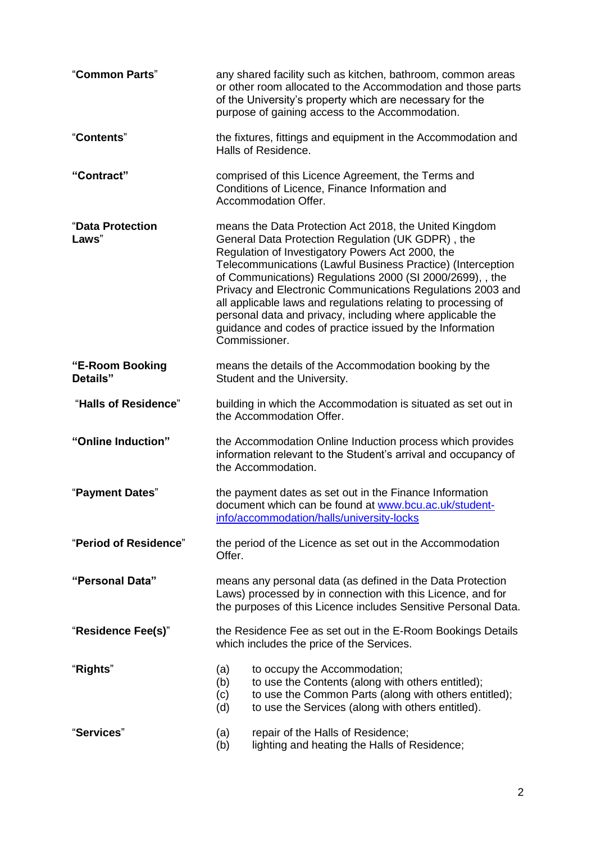| "Common Parts"              | any shared facility such as kitchen, bathroom, common areas<br>or other room allocated to the Accommodation and those parts<br>of the University's property which are necessary for the<br>purpose of gaining access to the Accommodation.                                                                                                                                                                                                                                                                                                                           |  |  |
|-----------------------------|----------------------------------------------------------------------------------------------------------------------------------------------------------------------------------------------------------------------------------------------------------------------------------------------------------------------------------------------------------------------------------------------------------------------------------------------------------------------------------------------------------------------------------------------------------------------|--|--|
| "Contents"                  | the fixtures, fittings and equipment in the Accommodation and<br>Halls of Residence.                                                                                                                                                                                                                                                                                                                                                                                                                                                                                 |  |  |
| "Contract"                  | comprised of this Licence Agreement, the Terms and<br>Conditions of Licence, Finance Information and<br>Accommodation Offer.                                                                                                                                                                                                                                                                                                                                                                                                                                         |  |  |
| "Data Protection<br>Laws"   | means the Data Protection Act 2018, the United Kingdom<br>General Data Protection Regulation (UK GDPR), the<br>Regulation of Investigatory Powers Act 2000, the<br>Telecommunications (Lawful Business Practice) (Interception<br>of Communications) Regulations 2000 (SI 2000/2699), , the<br>Privacy and Electronic Communications Regulations 2003 and<br>all applicable laws and regulations relating to processing of<br>personal data and privacy, including where applicable the<br>guidance and codes of practice issued by the Information<br>Commissioner. |  |  |
| "E-Room Booking<br>Details" | means the details of the Accommodation booking by the<br>Student and the University.                                                                                                                                                                                                                                                                                                                                                                                                                                                                                 |  |  |
| "Halls of Residence"        | building in which the Accommodation is situated as set out in<br>the Accommodation Offer.                                                                                                                                                                                                                                                                                                                                                                                                                                                                            |  |  |
| "Online Induction"          | the Accommodation Online Induction process which provides<br>information relevant to the Student's arrival and occupancy of<br>the Accommodation.                                                                                                                                                                                                                                                                                                                                                                                                                    |  |  |
| "Payment Dates"             | the payment dates as set out in the Finance Information<br>document which can be found at www.bcu.ac.uk/student-<br>info/accommodation/halls/university-locks                                                                                                                                                                                                                                                                                                                                                                                                        |  |  |
| "Period of Residence"       | the period of the Licence as set out in the Accommodation<br>Offer.                                                                                                                                                                                                                                                                                                                                                                                                                                                                                                  |  |  |
| "Personal Data"             | means any personal data (as defined in the Data Protection<br>Laws) processed by in connection with this Licence, and for<br>the purposes of this Licence includes Sensitive Personal Data.                                                                                                                                                                                                                                                                                                                                                                          |  |  |
| "Residence Fee(s)"          | the Residence Fee as set out in the E-Room Bookings Details<br>which includes the price of the Services.                                                                                                                                                                                                                                                                                                                                                                                                                                                             |  |  |
| "Rights"                    | to occupy the Accommodation;<br>(a)<br>(b)<br>to use the Contents (along with others entitled);<br>to use the Common Parts (along with others entitled);<br>(c)<br>to use the Services (along with others entitled).<br>(d)                                                                                                                                                                                                                                                                                                                                          |  |  |
| "Services"                  | repair of the Halls of Residence;<br>(a)<br>lighting and heating the Halls of Residence;<br>(b)                                                                                                                                                                                                                                                                                                                                                                                                                                                                      |  |  |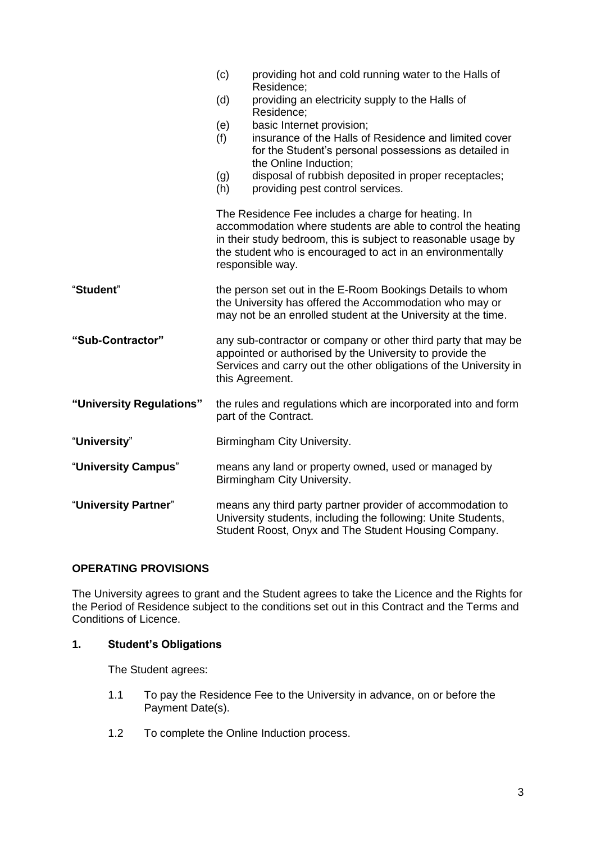|                          | (c)                                                                                                                                                                                                                | providing hot and cold running water to the Halls of<br>Residence;                                                                                                                                                                                                      |  |
|--------------------------|--------------------------------------------------------------------------------------------------------------------------------------------------------------------------------------------------------------------|-------------------------------------------------------------------------------------------------------------------------------------------------------------------------------------------------------------------------------------------------------------------------|--|
|                          | (d)                                                                                                                                                                                                                | providing an electricity supply to the Halls of<br>Residence;                                                                                                                                                                                                           |  |
|                          | (e)<br>(f)<br>(g)                                                                                                                                                                                                  | basic Internet provision;<br>insurance of the Halls of Residence and limited cover<br>for the Student's personal possessions as detailed in<br>the Online Induction;<br>disposal of rubbish deposited in proper receptacles;                                            |  |
|                          | (h)                                                                                                                                                                                                                | providing pest control services.                                                                                                                                                                                                                                        |  |
|                          |                                                                                                                                                                                                                    | The Residence Fee includes a charge for heating. In<br>accommodation where students are able to control the heating<br>in their study bedroom, this is subject to reasonable usage by<br>the student who is encouraged to act in an environmentally<br>responsible way. |  |
| "Student"                | the person set out in the E-Room Bookings Details to whom<br>the University has offered the Accommodation who may or<br>may not be an enrolled student at the University at the time.                              |                                                                                                                                                                                                                                                                         |  |
| "Sub-Contractor"         | any sub-contractor or company or other third party that may be<br>appointed or authorised by the University to provide the<br>Services and carry out the other obligations of the University in<br>this Agreement. |                                                                                                                                                                                                                                                                         |  |
| "University Regulations" | the rules and regulations which are incorporated into and form<br>part of the Contract.                                                                                                                            |                                                                                                                                                                                                                                                                         |  |
| "University"             | Birmingham City University.                                                                                                                                                                                        |                                                                                                                                                                                                                                                                         |  |
| "University Campus"      | means any land or property owned, used or managed by<br>Birmingham City University.                                                                                                                                |                                                                                                                                                                                                                                                                         |  |
| "University Partner"     | means any third party partner provider of accommodation to<br>University students, including the following: Unite Students,<br>Student Roost, Onyx and The Student Housing Company.                                |                                                                                                                                                                                                                                                                         |  |

# **OPERATING PROVISIONS**

The University agrees to grant and the Student agrees to take the Licence and the Rights for the Period of Residence subject to the conditions set out in this Contract and the Terms and Conditions of Licence.

### **1. Student's Obligations**

The Student agrees:

- 1.1 To pay the Residence Fee to the University in advance, on or before the Payment Date(s).
- 1.2 To complete the Online Induction process.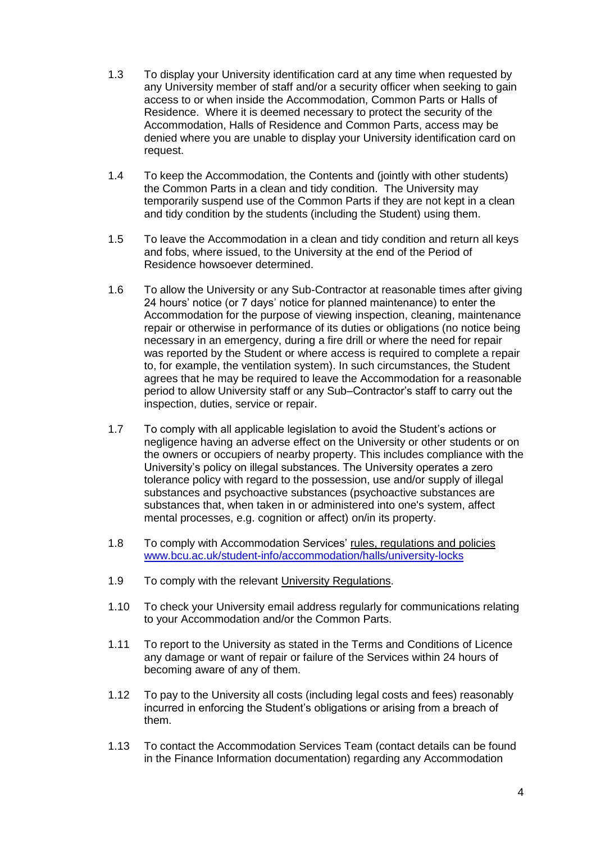- 1.3 To display your University identification card at any time when requested by any University member of staff and/or a security officer when seeking to gain access to or when inside the Accommodation, Common Parts or Halls of Residence. Where it is deemed necessary to protect the security of the Accommodation, Halls of Residence and Common Parts, access may be denied where you are unable to display your University identification card on request.
- 1.4 To keep the Accommodation, the Contents and (jointly with other students) the Common Parts in a clean and tidy condition. The University may temporarily suspend use of the Common Parts if they are not kept in a clean and tidy condition by the students (including the Student) using them.
- 1.5 To leave the Accommodation in a clean and tidy condition and return all keys and fobs, where issued, to the University at the end of the Period of Residence howsoever determined.
- 1.6 To allow the University or any Sub-Contractor at reasonable times after giving 24 hours' notice (or 7 days' notice for planned maintenance) to enter the Accommodation for the purpose of viewing inspection, cleaning, maintenance repair or otherwise in performance of its duties or obligations (no notice being necessary in an emergency, during a fire drill or where the need for repair was reported by the Student or where access is required to complete a repair to, for example, the ventilation system). In such circumstances, the Student agrees that he may be required to leave the Accommodation for a reasonable period to allow University staff or any Sub–Contractor's staff to carry out the inspection, duties, service or repair.
- 1.7 To comply with all applicable legislation to avoid the Student's actions or negligence having an adverse effect on the University or other students or on the owners or occupiers of nearby property. This includes compliance with the University's policy on illegal substances. The University operates a zero tolerance policy with regard to the possession, use and/or supply of illegal substances and psychoactive substances (psychoactive substances are substances that, when taken in or administered into one's system, affect mental processes, e.g. cognition or affect) on/in its property.
- 1.8 To comply with Accommodation Services' [rules, regulations and policies](https://www.bcu.ac.uk/student-info/accommodation/faqs) [www.bcu.ac.uk/student-info/accommodation/halls/university-locks](http://www.bcu.ac.uk/student-info/accommodation/halls/university-locks)
- 1.9 To comply with the relevant University [Regulations.](https://www.bcu.ac.uk/student-info/university-regulations)
- 1.10 To check your University email address regularly for communications relating to your Accommodation and/or the Common Parts.
- 1.11 To report to the University as stated in the Terms and Conditions of Licence any damage or want of repair or failure of the Services within 24 hours of becoming aware of any of them.
- 1.12 To pay to the University all costs (including legal costs and fees) reasonably incurred in enforcing the Student's obligations or arising from a breach of them.
- 1.13 To contact the Accommodation Services Team (contact details can be found in the Finance Information documentation) regarding any Accommodation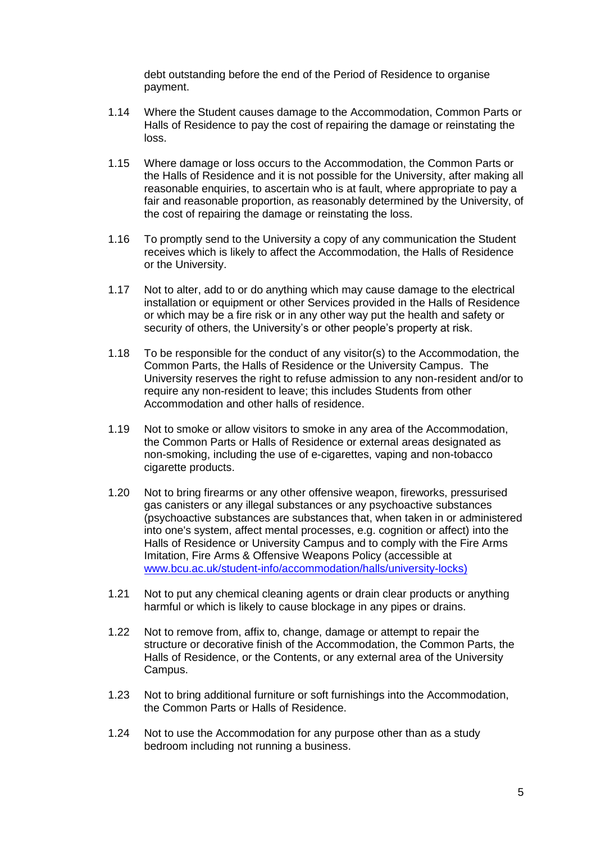debt outstanding before the end of the Period of Residence to organise payment.

- 1.14 Where the Student causes damage to the Accommodation, Common Parts or Halls of Residence to pay the cost of repairing the damage or reinstating the loss.
- 1.15 Where damage or loss occurs to the Accommodation, the Common Parts or the Halls of Residence and it is not possible for the University, after making all reasonable enquiries, to ascertain who is at fault, where appropriate to pay a fair and reasonable proportion, as reasonably determined by the University, of the cost of repairing the damage or reinstating the loss.
- 1.16 To promptly send to the University a copy of any communication the Student receives which is likely to affect the Accommodation, the Halls of Residence or the University.
- 1.17 Not to alter, add to or do anything which may cause damage to the electrical installation or equipment or other Services provided in the Halls of Residence or which may be a fire risk or in any other way put the health and safety or security of others, the University's or other people's property at risk.
- <span id="page-4-0"></span>1.18 To be responsible for the conduct of any visitor(s) to the Accommodation, the Common Parts, the Halls of Residence or the University Campus. The University reserves the right to refuse admission to any non-resident and/or to require any non-resident to leave; this includes Students from other Accommodation and other halls of residence.
- 1.19 Not to smoke or allow visitors to smoke in any area of the Accommodation, the Common Parts or Halls of Residence or external areas designated as non-smoking, including the use of e-cigarettes, vaping and non-tobacco cigarette products.
- 1.20 Not to bring firearms or any other offensive weapon, fireworks, pressurised gas canisters or any illegal substances or any psychoactive substances (psychoactive substances are substances that, when taken in or administered into one's system, affect mental processes, e.g. cognition or affect) into the Halls of Residence or University Campus and to comply with the Fire Arms Imitation, Fire Arms & Offensive Weapons Policy (accessible at [www.bcu.ac.uk/student-info/accommodation/halls/university-locks\)](https://www.bcu.ac.uk/student-info/accommodation/halls/university-locks)
- 1.21 Not to put any chemical cleaning agents or drain clear products or anything harmful or which is likely to cause blockage in any pipes or drains.
- 1.22 Not to remove from, affix to, change, damage or attempt to repair the structure or decorative finish of the Accommodation, the Common Parts, the Halls of Residence, or the Contents, or any external area of the University Campus.
- 1.23 Not to bring additional furniture or soft furnishings into the Accommodation, the Common Parts or Halls of Residence.
- 1.24 Not to use the Accommodation for any purpose other than as a study bedroom including not running a business.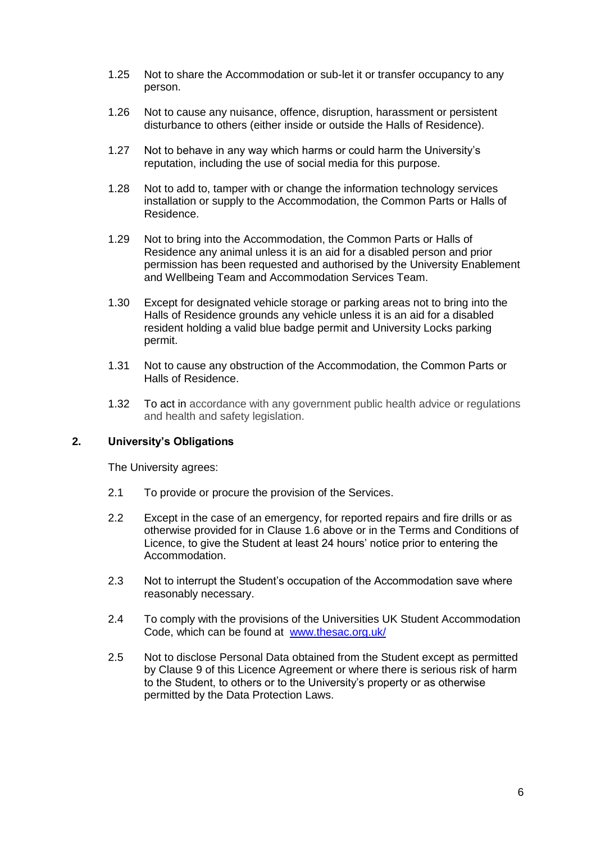- 1.25 Not to share the Accommodation or sub-let it or transfer occupancy to any person.
- 1.26 Not to cause any nuisance, offence, disruption, harassment or persistent disturbance to others (either inside or outside the Halls of Residence).
- 1.27 Not to behave in any way which harms or could harm the University's reputation, including the use of social media for this purpose.
- 1.28 Not to add to, tamper with or change the information technology services installation or supply to the Accommodation, the Common Parts or Halls of Residence.
- 1.29 Not to bring into the Accommodation, the Common Parts or Halls of Residence any animal unless it is an aid for a disabled person and prior permission has been requested and authorised by the University Enablement and Wellbeing Team and Accommodation Services Team.
- 1.30 Except for designated vehicle storage or parking areas not to bring into the Halls of Residence grounds any vehicle unless it is an aid for a disabled resident holding a valid blue badge permit and University Locks parking permit.
- 1.31 Not to cause any obstruction of the Accommodation, the Common Parts or Halls of Residence.
- 1.32 To act in accordance with any government public health advice or regulations and health and safety legislation.

### **2. University's Obligations**

The University agrees:

- <span id="page-5-0"></span>2.1 To provide or procure the provision of the Services.
- 2.2 Except in the case of an emergency, for reported repairs and fire drills or as otherwise provided for in Clause 1.6 above or in the Terms and Conditions of Licence, to give the Student at least 24 hours' notice prior to entering the Accommodation.
- 2.3 Not to interrupt the Student's occupation of the Accommodation save where reasonably necessary.
- 2.4 To comply with the provisions of the Universities UK Student Accommodation Code, which can be found at [www.thesac.org.uk/](http://www.thesac.org.uk/)
- 2.5 Not to disclose Personal Data obtained from the Student except as permitted by Clause 9 of this Licence Agreement or where there is serious risk of harm to the Student, to others or to the University's property or as otherwise permitted by the Data Protection Laws.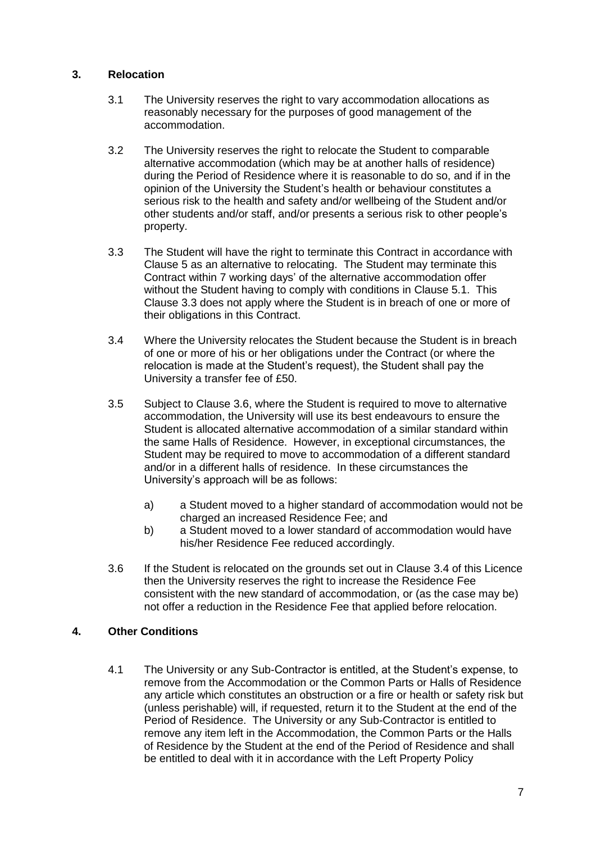# **3. Relocation**

- 3.1 The University reserves the right to vary accommodation allocations as reasonably necessary for the purposes of good management of the accommodation.
- 3.2 The University reserves the right to relocate the Student to comparable alternative accommodation (which may be at another halls of residence) during the Period of Residence where it is reasonable to do so, and if in the opinion of the University the Student's health or behaviour constitutes a serious risk to the health and safety and/or wellbeing of the Student and/or other students and/or staff, and/or presents a serious risk to other people's property.
- 3.3 The Student will have the right to terminate this Contract in accordance with Clause 5 as an alternative to relocating. The Student may terminate this Contract within 7 working days' of the alternative accommodation offer without the Student having to comply with conditions in Clause 5.1. This Clause 3.3 does not apply where the Student is in breach of one or more of their obligations in this Contract.
- 3.4 Where the University relocates the Student because the Student is in breach of one or more of his or her obligations under the Contract (or where the relocation is made at the Student's request), the Student shall pay the University a transfer fee of £50.
- 3.5 Subject to Clause 3.6, where the Student is required to move to alternative accommodation, the University will use its best endeavours to ensure the Student is allocated alternative accommodation of a similar standard within the same Halls of Residence. However, in exceptional circumstances, the Student may be required to move to accommodation of a different standard and/or in a different halls of residence. In these circumstances the University's approach will be as follows:
	- a) a Student moved to a higher standard of accommodation would not be charged an increased Residence Fee; and
	- b) a Student moved to a lower standard of accommodation would have his/her Residence Fee reduced accordingly.
- 3.6 If the Student is relocated on the grounds set out in Clause 3.4 of this Licence then the University reserves the right to increase the Residence Fee consistent with the new standard of accommodation, or (as the case may be) not offer a reduction in the Residence Fee that applied before relocation.

# **4. Other Conditions**

4.1 The University or any Sub-Contractor is entitled, at the Student's expense, to remove from the Accommodation or the Common Parts or Halls of Residence any article which constitutes an obstruction or a fire or health or safety risk but (unless perishable) will, if requested, return it to the Student at the end of the Period of Residence. The University or any Sub-Contractor is entitled to remove any item left in the Accommodation, the Common Parts or the Halls of Residence by the Student at the end of the Period of Residence and shall be entitled to deal with it in accordance with the Left Property Policy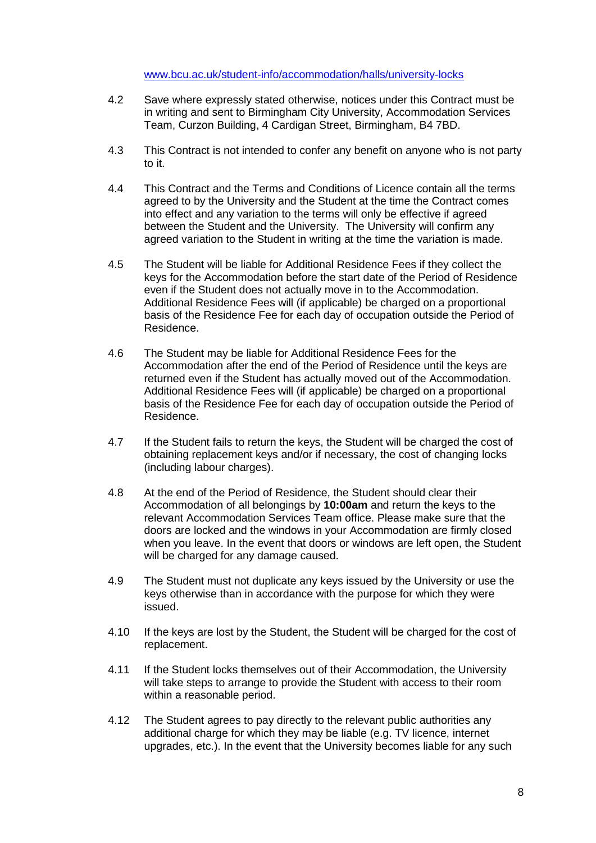[www.bcu.ac.uk/student-info/accommodation/halls/university-locks](http://www.bcu.ac.uk/student-info/accommodation/halls/university-locks)

- 4.2 Save where expressly stated otherwise, notices under this Contract must be in writing and sent to Birmingham City University, Accommodation Services Team, Curzon Building, 4 Cardigan Street, Birmingham, B4 7BD.
- 4.3 This Contract is not intended to confer any benefit on anyone who is not party to it.
- 4.4 This Contract and the Terms and Conditions of Licence contain all the terms agreed to by the University and the Student at the time the Contract comes into effect and any variation to the terms will only be effective if agreed between the Student and the University. The University will confirm any agreed variation to the Student in writing at the time the variation is made.
- 4.5 The Student will be liable for Additional Residence Fees if they collect the keys for the Accommodation before the start date of the Period of Residence even if the Student does not actually move in to the Accommodation. Additional Residence Fees will (if applicable) be charged on a proportional basis of the Residence Fee for each day of occupation outside the Period of Residence.
- 4.6 The Student may be liable for Additional Residence Fees for the Accommodation after the end of the Period of Residence until the keys are returned even if the Student has actually moved out of the Accommodation. Additional Residence Fees will (if applicable) be charged on a proportional basis of the Residence Fee for each day of occupation outside the Period of Residence.
- 4.7 If the Student fails to return the keys, the Student will be charged the cost of obtaining replacement keys and/or if necessary, the cost of changing locks (including labour charges).
- 4.8 At the end of the Period of Residence, the Student should clear their Accommodation of all belongings by **10:00am** and return the keys to the relevant Accommodation Services Team office. Please make sure that the doors are locked and the windows in your Accommodation are firmly closed when you leave. In the event that doors or windows are left open, the Student will be charged for any damage caused.
- 4.9 The Student must not duplicate any keys issued by the University or use the keys otherwise than in accordance with the purpose for which they were issued.
- 4.10 If the keys are lost by the Student, the Student will be charged for the cost of replacement.
- 4.11 If the Student locks themselves out of their Accommodation, the University will take steps to arrange to provide the Student with access to their room within a reasonable period.
- 4.12 The Student agrees to pay directly to the relevant public authorities any additional charge for which they may be liable (e.g. TV licence, internet upgrades, etc.). In the event that the University becomes liable for any such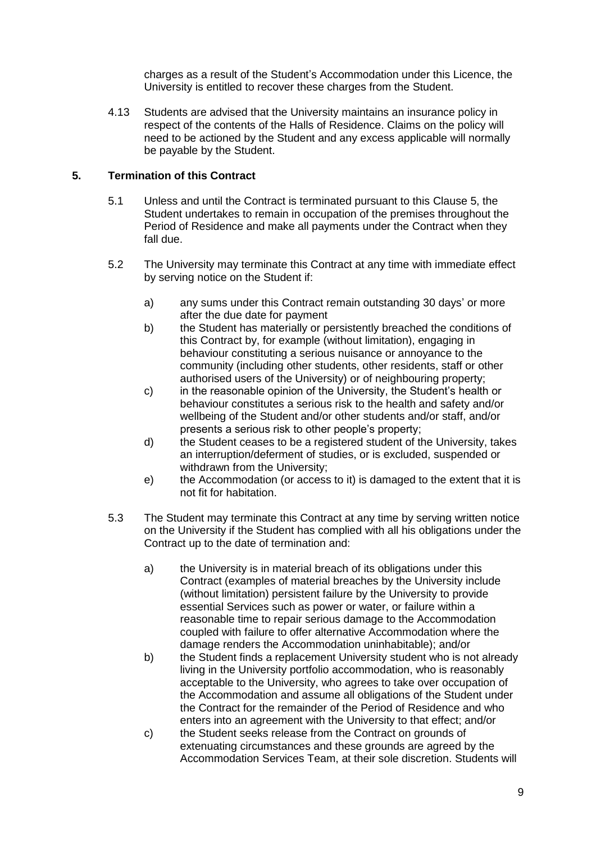charges as a result of the Student's Accommodation under this Licence, the University is entitled to recover these charges from the Student.

4.13 Students are advised that the University maintains an insurance policy in respect of the contents of the Halls of Residence. Claims on the policy will need to be actioned by the Student and any excess applicable will normally be payable by the Student.

## **5. Termination of this Contract**

- 5.1 Unless and until the Contract is terminated pursuant to this Clause 5, the Student undertakes to remain in occupation of the premises throughout the Period of Residence and make all payments under the Contract when they fall due.
- 5.2 The University may terminate this Contract at any time with immediate effect by serving notice on the Student if:
	- a) any sums under this Contract remain outstanding 30 days' or more after the due date for payment
	- b) the Student has materially or persistently breached the conditions of this Contract by, for example (without limitation), engaging in behaviour constituting a serious nuisance or annoyance to the community (including other students, other residents, staff or other authorised users of the University) or of neighbouring property;
	- c) in the reasonable opinion of the University, the Student's health or behaviour constitutes a serious risk to the health and safety and/or wellbeing of the Student and/or other students and/or staff, and/or presents a serious risk to other people's property;
	- d) the Student ceases to be a registered student of the University, takes an interruption/deferment of studies, or is excluded, suspended or withdrawn from the University;
	- e) the Accommodation (or access to it) is damaged to the extent that it is not fit for habitation.
- 5.3 The Student may terminate this Contract at any time by serving written notice on the University if the Student has complied with all his obligations under the Contract up to the date of termination and:
	- a) the University is in material breach of its obligations under this Contract (examples of material breaches by the University include (without limitation) persistent failure by the University to provide essential Services such as power or water, or failure within a reasonable time to repair serious damage to the Accommodation coupled with failure to offer alternative Accommodation where the damage renders the Accommodation uninhabitable); and/or
	- b) the Student finds a replacement University student who is not already living in the University portfolio accommodation, who is reasonably acceptable to the University, who agrees to take over occupation of the Accommodation and assume all obligations of the Student under the Contract for the remainder of the Period of Residence and who enters into an agreement with the University to that effect; and/or
	- c) the Student seeks release from the Contract on grounds of extenuating circumstances and these grounds are agreed by the Accommodation Services Team, at their sole discretion. Students will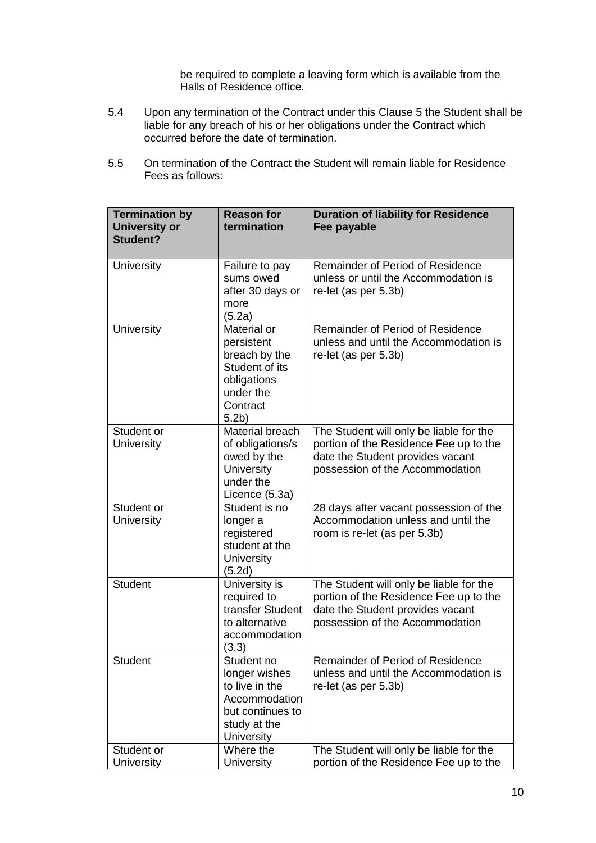be required to complete a leaving form which is available from the Halls of Residence office.

- 5.4 Upon any termination of the Contract under this Clause 5 the Student shall be liable for any breach of his or her obligations under the Contract which occurred before the date of termination.
- 5.5 On termination of the Contract the Student will remain liable for Residence Fees as follows:

| <b>Termination by</b><br><b>University or</b><br>Student? | <b>Reason for</b><br>termination                                                                                         | <b>Duration of liability for Residence</b><br>Fee payable                                                                                                |
|-----------------------------------------------------------|--------------------------------------------------------------------------------------------------------------------------|----------------------------------------------------------------------------------------------------------------------------------------------------------|
| University                                                | Failure to pay<br>sums owed<br>after 30 days or<br>more<br>(5.2a)                                                        | Remainder of Period of Residence<br>unless or until the Accommodation is<br>re-let (as per 5.3b)                                                         |
| <b>University</b>                                         | Material or<br>persistent<br>breach by the<br>Student of its<br>obligations<br>under the<br>Contract<br>5.2 <sub>b</sub> | Remainder of Period of Residence<br>unless and until the Accommodation is<br>re-let (as per 5.3b)                                                        |
| Student or<br><b>University</b>                           | <b>Material breach</b><br>of obligations/s<br>owed by the<br>University<br>under the<br>Licence (5.3a)                   | The Student will only be liable for the<br>portion of the Residence Fee up to the<br>date the Student provides vacant<br>possession of the Accommodation |
| Student or<br>University                                  | Student is no<br>longer a<br>registered<br>student at the<br>University<br>(5.2d)                                        | 28 days after vacant possession of the<br>Accommodation unless and until the<br>room is re-let (as per 5.3b)                                             |
| <b>Student</b>                                            | University is<br>required to<br>transfer Student<br>to alternative<br>accommodation<br>(3.3)                             | The Student will only be liable for the<br>portion of the Residence Fee up to the<br>date the Student provides vacant<br>possession of the Accommodation |
| <b>Student</b>                                            | Student no<br>longer wishes<br>to live in the<br>Accommodation<br>but continues to<br>study at the<br>University         | Remainder of Period of Residence<br>unless and until the Accommodation is<br>re-let (as per 5.3b)                                                        |
| Student or<br>University                                  | Where the<br>University                                                                                                  | The Student will only be liable for the<br>portion of the Residence Fee up to the                                                                        |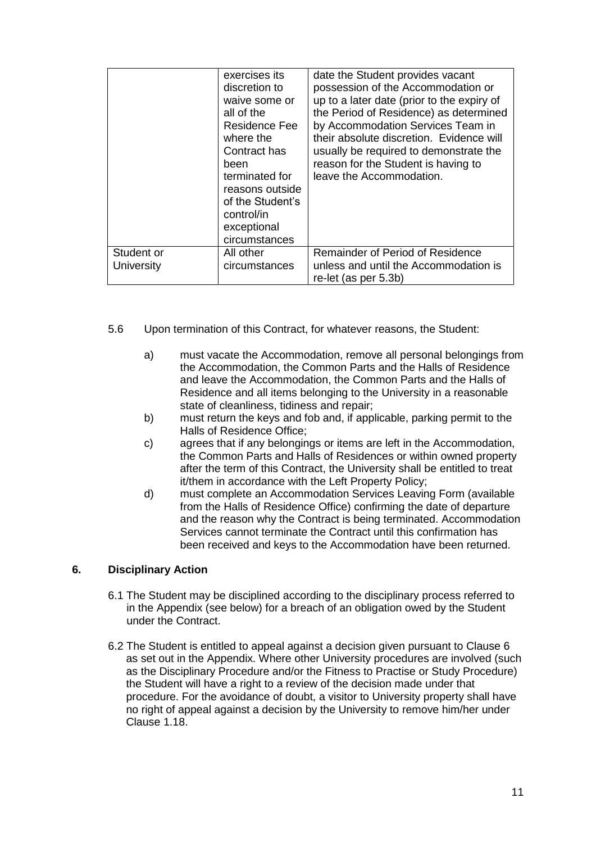|                          | exercises its<br>discretion to<br>waive some or<br>all of the<br><b>Residence Fee</b><br>where the<br>Contract has<br>been<br>terminated for<br>reasons outside<br>of the Student's<br>control/in<br>exceptional<br>circumstances | date the Student provides vacant<br>possession of the Accommodation or<br>up to a later date (prior to the expiry of<br>the Period of Residence) as determined<br>by Accommodation Services Team in<br>their absolute discretion. Evidence will<br>usually be required to demonstrate the<br>reason for the Student is having to<br>leave the Accommodation. |
|--------------------------|-----------------------------------------------------------------------------------------------------------------------------------------------------------------------------------------------------------------------------------|--------------------------------------------------------------------------------------------------------------------------------------------------------------------------------------------------------------------------------------------------------------------------------------------------------------------------------------------------------------|
| Student or<br>University | All other<br>circumstances                                                                                                                                                                                                        | Remainder of Period of Residence<br>unless and until the Accommodation is<br>re-let (as per 5.3b)                                                                                                                                                                                                                                                            |

- 5.6 Upon termination of this Contract, for whatever reasons, the Student:
	- a) must vacate the Accommodation, remove all personal belongings from the Accommodation, the Common Parts and the Halls of Residence and leave the Accommodation, the Common Parts and the Halls of Residence and all items belonging to the University in a reasonable state of cleanliness, tidiness and repair;
	- b) must return the keys and fob and, if applicable, parking permit to the Halls of Residence Office;
	- c) agrees that if any belongings or items are left in the Accommodation, the Common Parts and Halls of Residences or within owned property after the term of this Contract, the University shall be entitled to treat it/them in accordance with the Left Property Policy;
	- d) must complete an Accommodation Services Leaving Form (available from the Halls of Residence Office) confirming the date of departure and the reason why the Contract is being terminated. Accommodation Services cannot terminate the Contract until this confirmation has been received and keys to the Accommodation have been returned.

### **6. Disciplinary Action**

- 6.1 The Student may be disciplined according to the disciplinary process referred to in the Appendix (see below) for a breach of an obligation owed by the Student under the Contract.
- 6.2 The Student is entitled to appeal against a decision given pursuant to Clause 6 as set out in the Appendix. Where other University procedures are involved (such as the Disciplinary Procedure and/or the Fitness to Practise or Study Procedure) the Student will have a right to a review of the decision made under that procedure. For the avoidance of doubt, a visitor to University property shall have no right of appeal against a decision by the University to remove him/her under Clause [1.18.](#page-4-0)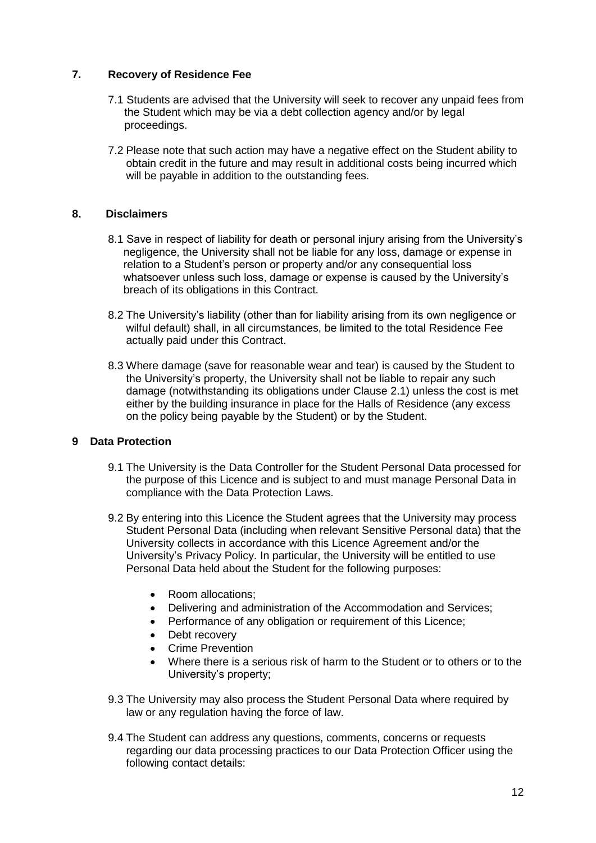# **7. Recovery of Residence Fee**

- 7.1 Students are advised that the University will seek to recover any unpaid fees from the Student which may be via a debt collection agency and/or by legal proceedings.
- 7.2 Please note that such action may have a negative effect on the Student ability to obtain credit in the future and may result in additional costs being incurred which will be payable in addition to the outstanding fees.

### **8. Disclaimers**

- 8.1 Save in respect of liability for death or personal injury arising from the University's negligence, the University shall not be liable for any loss, damage or expense in relation to a Student's person or property and/or any consequential loss whatsoever unless such loss, damage or expense is caused by the University's breach of its obligations in this Contract.
- 8.2 The University's liability (other than for liability arising from its own negligence or wilful default) shall, in all circumstances, be limited to the total Residence Fee actually paid under this Contract.
- 8.3 Where damage (save for reasonable wear and tear) is caused by the Student to the University's property, the University shall not be liable to repair any such damage (notwithstanding its obligations under Clause [2.1\)](#page-5-0) unless the cost is met either by the building insurance in place for the Halls of Residence (any excess on the policy being payable by the Student) or by the Student.

### **9 Data Protection**

- 9.1 The University is the Data Controller for the Student Personal Data processed for the purpose of this Licence and is subject to and must manage Personal Data in compliance with the Data Protection Laws.
- 9.2 By entering into this Licence the Student agrees that the University may process Student Personal Data (including when relevant Sensitive Personal data) that the University collects in accordance with this Licence Agreement and/or the University's Privacy Policy. In particular, the University will be entitled to use Personal Data held about the Student for the following purposes:
	- Room allocations:
	- Delivering and administration of the Accommodation and Services;
	- Performance of any obligation or requirement of this Licence;
	- Debt recovery
	- Crime Prevention
	- Where there is a serious risk of harm to the Student or to others or to the University's property;
- 9.3 The University may also process the Student Personal Data where required by law or any regulation having the force of law.
- 9.4 The Student can address any questions, comments, concerns or requests regarding our data processing practices to our Data Protection Officer using the following contact details: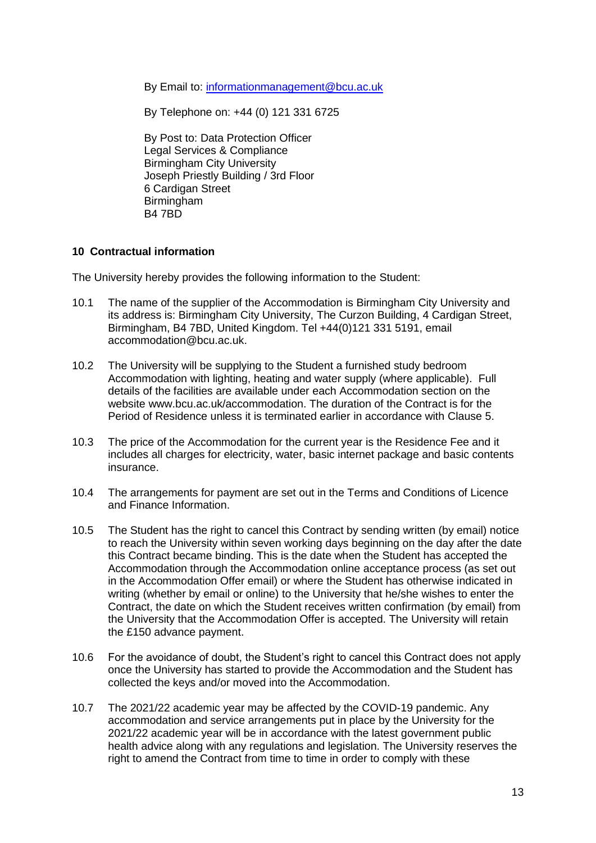By Email to: [informationmanagement@bcu.ac.uk](mailto:informationmanagement@bcu.ac.uk)

By Telephone on: +44 (0) 121 331 6725

By Post to: Data Protection Officer Legal Services & Compliance Birmingham City University Joseph Priestly Building / 3rd Floor 6 Cardigan Street Birmingham B4 7BD

## **10 Contractual information**

The University hereby provides the following information to the Student:

- 10.1 The name of the supplier of the Accommodation is Birmingham City University and its address is: Birmingham City University, The Curzon Building, 4 Cardigan Street, Birmingham, B4 7BD, United Kingdom. Tel +44(0)121 331 5191, email [accommodation@bcu.ac.uk.](mailto:accommodation@bcu.ac.uk)
- 10.2 The University will be supplying to the Student a furnished study bedroom Accommodation with lighting, heating and water supply (where applicable). Full details of the facilities are available under each Accommodation section on the website [www.bcu.ac.uk/accommodation.](http://www.bcu.ac.uk/accommodation) The duration of the Contract is for the Period of Residence unless it is terminated earlier in accordance with Clause 5.
- 10.3 The price of the Accommodation for the current year is the Residence Fee and it includes all charges for electricity, water, basic internet package and basic contents insurance.
- 10.4 The arrangements for payment are set out in the Terms and Conditions of Licence and Finance Information.
- 10.5 The Student has the right to cancel this Contract by sending written (by email) notice to reach the University within seven working days beginning on the day after the date this Contract became binding. This is the date when the Student has accepted the Accommodation through the Accommodation online acceptance process (as set out in the Accommodation Offer email) or where the Student has otherwise indicated in writing (whether by email or online) to the University that he/she wishes to enter the Contract, the date on which the Student receives written confirmation (by email) from the University that the Accommodation Offer is accepted. The University will retain the £150 advance payment.
- 10.6 For the avoidance of doubt, the Student's right to cancel this Contract does not apply once the University has started to provide the Accommodation and the Student has collected the keys and/or moved into the Accommodation.
- 10.7 The 2021/22 academic year may be affected by the COVID-19 pandemic. Any accommodation and service arrangements put in place by the University for the 2021/22 academic year will be in accordance with the latest government public health advice along with any regulations and legislation. The University reserves the right to amend the Contract from time to time in order to comply with these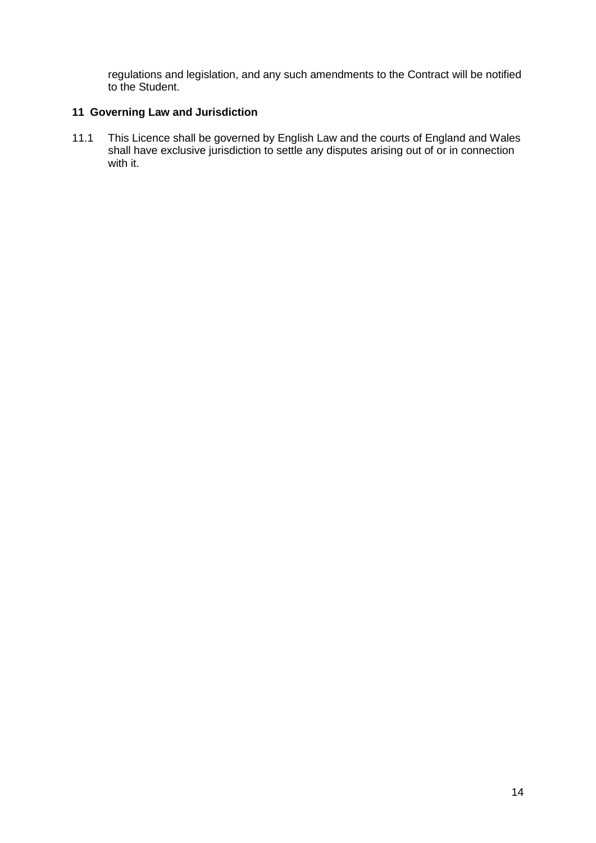regulations and legislation, and any such amendments to the Contract will be notified to the Student.

#### **11 Governing Law and Jurisdiction**

11.1 This Licence shall be governed by English Law and the courts of England and Wales shall have exclusive jurisdiction to settle any disputes arising out of or in connection with it.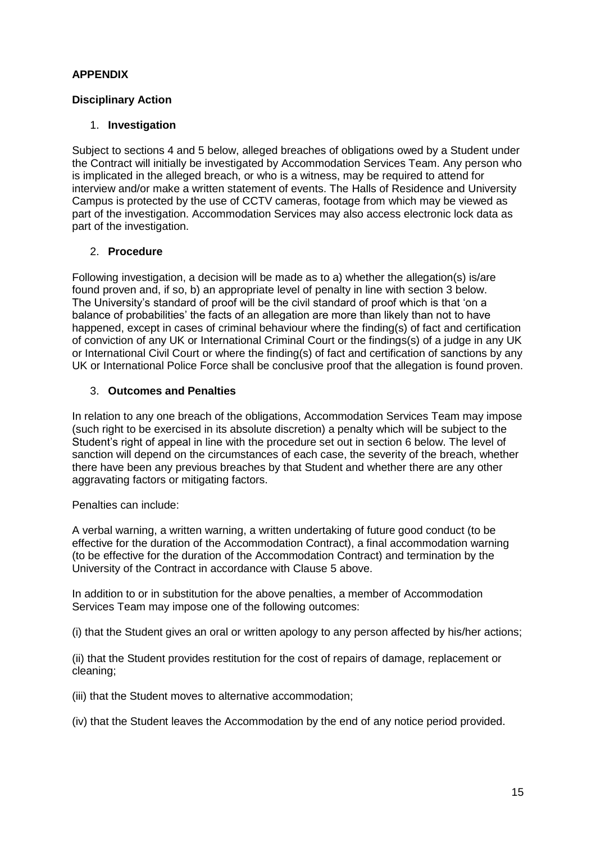# **APPENDIX**

# **Disciplinary Action**

## 1. **Investigation**

Subject to sections 4 and [5](#page-15-0) below, alleged breaches of obligations owed by a Student under the Contract will initially be investigated by Accommodation Services Team. Any person who is implicated in the alleged breach, or who is a witness, may be required to attend for interview and/or make a written statement of events. The Halls of Residence and University Campus is protected by the use of CCTV cameras, footage from which may be viewed as part of the investigation. Accommodation Services may also access electronic lock data as part of the investigation.

### 2. **Procedure**

Following investigation, a decision will be made as to a) whether the allegation(s) is/are found proven and, if so, b) an appropriate level of penalty in line with section [3](#page-14-0) below. The University's standard of proof will be the civil standard of proof which is that 'on a balance of probabilities' the facts of an allegation are more than likely than not to have happened, except in cases of criminal behaviour where the finding(s) of fact and certification of conviction of any UK or International Criminal Court or the findings(s) of a judge in any UK or International Civil Court or where the finding(s) of fact and certification of sanctions by any UK or International Police Force shall be conclusive proof that the allegation is found proven.

### <span id="page-14-0"></span>3. **Outcomes and Penalties**

In relation to any one breach of the obligations, Accommodation Services Team may impose (such right to be exercised in its absolute discretion) a penalty which will be subject to the Student's right of appeal in line with the procedure set out in section [6](#page-15-1) below. The level of sanction will depend on the circumstances of each case, the severity of the breach, whether there have been any previous breaches by that Student and whether there are any other aggravating factors or mitigating factors.

Penalties can include:

A verbal warning, a written warning, a written undertaking of future good conduct (to be effective for the duration of the Accommodation Contract), a final accommodation warning (to be effective for the duration of the Accommodation Contract) and termination by the University of the Contract in accordance with Clause 5 above.

In addition to or in substitution for the above penalties, a member of Accommodation Services Team may impose one of the following outcomes:

(i) that the Student gives an oral or written apology to any person affected by his/her actions;

(ii) that the Student provides restitution for the cost of repairs of damage, replacement or cleaning;

(iii) that the Student moves to alternative accommodation;

(iv) that the Student leaves the Accommodation by the end of any notice period provided.